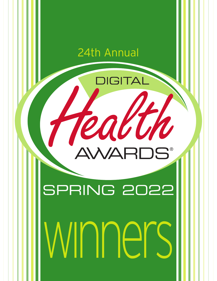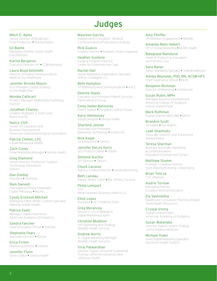# **Judges**

Mitch E. Apley Senior Director of Broadcast | Print Production **•** AbelsonTaylor

Gil Bashe Managing Partner, Global Health Finn Partners

Karine Bergeron Executive Director, Art **•** CDM Montreal

Laura Boyd DeSmeth Director of Digital Communications Medical City Healthcare

Jennifer Brooks-Mason Vice President, Digital Strategy SCAN Health Plan

Monika Cathcart Product Manager, Multimedia Publishing Elsevier

Jonathan Chaney Creative Strategist & Team Lead Blue Cross NC

Nancy Chill Senior VP Education and Business Development American Gastroenterological Association

Patrick Clinton, LPC Exhale Behavioral Health

Zach Covey Email Marketing Manager **•** Veritas Health

Greg Diamond Senior Director, Production Support Technology Operations Optum

Dan Dunlop President **•** Jennings

Ram Dwivedi International Product Manager - Digital Pathology **•** Roche

Cyndy Erickson Mitchell Managing Editor, Writer, Content Specialist National Jewish Health

Patrick Evett Manager, Digital Experience American Academy of Pediatrics

Sandra Fancher Chief Innovation Officer **•** Stamats

Stephanie Fears Associate Director **•** Westat

Erica Firmin Marketing Director **•** Solstice

Jennifer Flynn Senior Editor **•** Veritas Health Maureen Garrity Independent Consultant - Medical Communications/Publications strategy

Rick Guasco Creative Director **•** Positively Aware magazine

Heather Guidone Surgical Program Director Center for Endometriosis Care

Rachel Hall Senior Marketing Automation Specialist Arthur J Gallagher Co.

Beth Hampton VP Marketing and Communications **•** AACC

Desiree Hayes Executive Vice President Patient Services Palms Medical Group

Emily Heller-Belmonte Chief Creative **•** Pangaea Creative House

Karyi Hennessey Visual Designer **•** Veritas Health

Sharlene Jenner Associate Vice President, Marketing Technology **•** Vizient, Inc

Nick Kagal Vice President **•** SpinSci

Jennifer DeLeo Kertz SEO Product Owner **•** Optum

Stefanie Kuchta Art Director **•** Optum

Chuck Lacasse Agency Creative Director **•** Vendi Advertising

Beth Landau Owner, Writer, Editor **•** BEL Writing Services

Philip Lempert CEO Retail Dietitians Business Alliance LLC

Elliot Lopez President **•** ACTIONREACTION

Greg Morancey Secure IT UI/UX Website & Digital Marketing Expert

Christine Muldoon SVP Marketing and Strategy WebMD Health Services

Andrew Norris Sr. Digital Marketing Manager WebMD Health Services

Viraj Patwardhan Director Digital Consumer Experience Thomas Jefferson University and Jefferson Health

Amy Pfeiffer VP Member Engagement **•** WebMD

Amanda Raitz Hebert VP of Global Marketing **•** MORE Health

Balagopal Ramdurai Head of Products & Innovation Vectramind Corp.

Sara Raner Senior Marketing Specialist **•** UnitedHealthcare

Ashley Reynolds, PhD, RN, ACSM-HFS Chief Experience Officer **•** BioIQ

Benjamin Richman Director of Marketing **•** OneRecord

Susan Rubin, MPH Manager, Business Development American College of Surgeons Cancer Department

Mark Ruthman Digital Channel Web SME **•** Merck

Brandon Scott VP Digital **•** Ten Adams

Leah Shanholtz Associate Director, User Experience AbelsonTaylor

Teresa Sherman Business Associate, Marketing & Communications Education Development Center

Matthew Stumm Founder + Creative Director Stark/Raving Branding + Advertising

Brian Tencza CDC (Retired)

Audrie Tornow Managing Partner Excalibur Medical Education

Ela Vashishtha Healthcare Consultant/ Planning Analyst Texas Health Resources

Crystal Vining Digital Content Editor American Academy of Pediatrics

Susan Watanabe Director, Digital Content Strategy Johns Hopkins Medicine

Michael Yoder Lead Digital Marketing Specialist Spectrum Health System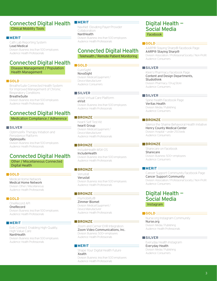# Connected Digital Health

Clinical Mobility Tools

# **MERIT**

Cath Lab Reporting System Lead Medical Division: Business: less than 500 employees Audience: Health Professionals

# Connected Digital Health

Disease Management / Population Health Management

## **GOLD**

BreatheSuite Connected Health System for Improved Management of Chronic Respiratory Conditions

# BreatheSuite

Division: Business: less than 500 employees Audience: Health Professionals

# Connected Digital Health

Medication Compliance / Adherence

# **SILVER**

OptimizeRx Therapy Initiation and Persistence Platform OptimizeRx Division: Business: less than 500 employees Audience: Health Professionals

# Connected Digital Health

Other / Miscellaneous Connected Digital Health

#### **GOLD** $\equiv$

Medical Home Network Medical Home Network Division: Other / Miscellaneous Audience: Health Professionals

## **GOLD**

OneRecord API

OneRecord Division: Business: less than 500 employees Audience: Health Professionals

#### **MERIT**

Eviti Connect: Enabling High-Quality, High-Value Care NantHealth

Division: Business: less than 500 employees Audience: Health Professionals

# **MERIT**

NaviNet: Elevating Payer-Provider Collaboration NantHealth

Division: Business: less than 500 employees Audience: Health Professionals

# Connected Digital Health Telehealth / Remote Patient Monitoring

# **GOLD**

CureSight NovaSight Division: Medical Equipment / Device Manufacturer Audience: Consumers

#### **SILVER**

eVisit Virtual Care Platform eVisit Division: Business: less than 500 employees Audience: Health Professionals

# **BRONZE**

hearX Self Test Kit hearX Group Division: Medical Equipment / Device Manufacturer Audience: Health Professionals

#### **BRONZE**

IncludeHealth MSK-OS IncludeHealth Division: Business: less than 500 employees Audience: Health Professionals

# **BRONZE**

Verustat Verustat Division: Business: less than 500 employees Audience: Health Professionals

# **BRONZE**

mymobility® Zimmer Biomet Division: Medical Equipment / Device Manufacturer Audience: Health Professionals

#### **BRONZE**

Zoom and Cerner EHR Integration Zoom Video Communications, Inc. Division: Business: 500+ employees Audience: Health Professionals

# **MERIT**

Shape Your Digital Health Future Xealth Division: Business: less than 500 employees Audience: Health Professionals

# Digital Health — Social Media Facebook

#### **GOLD** $\equiv$

AARP® Staying Sharp® Facebook Page AARP® Staying Sharp® Division: Association / Professional Society / Non-Profit Audience: Consumers

# **SILVER**

Klein's Pharmacy Facebook Page Content and Design Departments, Studiothink Division: Pharmacy / Drug Store Audience: Consumers

# **SILVER**

Spine-health Facebook Page Veritas Health Division: Media / Publishing Audience: Consumers

## **BRONZE**

Silence the Shame Behavioral Health Initiative Henry County Medical Center Division: Hospital — under 250 beds Audience: Consumers

#### **BRONZE**

Sharecare on Facebook Sharecare Division: Business: 500+ employees Audience: Consumers

# **MERIT**

Cancer Support Community Facebook Page Cancer Support Community Division: Association / Professional Society / Non-Profit Audience: Consumers

# Digital Health — Social Media Instagram

#### **GOLD** $\equiv$

Nurse.org Instagram Community Nurse.org Division: Media / Publishing Audience: Health Professionals

#### **SILVER**

Everyday Health Instagram Everyday Health Division: Media / Publishing Audience: Consumers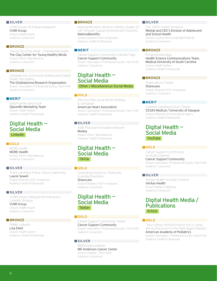## **SILVER**

VUMI Group's Bi-lingual Instagram VUMI Group Division: Health Insurer Audience: Consumers

# **BRONZE**

Clinical Tip of the Week - Child Mental Health The Clay Center for Young Healthy Minds Division: Other / Miscellaneous Audience: Consumers

# **BRONZE**

Glioblastoma Community Building and Digital Health Storytelling The Glioblastoma Research Organization Division: Association / Professional Society / Non-Profit Audience: Consumers

#### **MERIT**

optum perks paid social OptumRx Marketing Team Division: Health System Audience: Health Professionals

# Digital Health — Social Media LinkedIn

#### **GOLD**

MORE Health MORE Health Division: Other / Miscellaneous Audience: Consumers

## **SILVER**

There's Nothing 'Folksy' About Leadership Laurie Sewell Division: Business: 500+ employees Audience: Health Professionals

#### **SILVER**

VUMI Group's Bilingual and Interactive LinkedIn Strategy VUMI Group Division: Health Insurer

Audience: Consumers

# **BRONZE**

PMMA LinkedIn Lisa Diehl Division: Health System Audience: Health Professionals

#### **BRONZE**

Helping Members Achieve A Better Quality Of Life Through Supplemental Benefit Solutions NationsBenefits

Division: Business: 500+ employees Audience: Health Professionals

# **MERIT**

Cancer Support Community LinkedIn Page Cancer Support Community Division: Association / Professional Society / Non-Profit Audience: Consumers

# Digital Health — Social Media Other / Miscellaneous Social Media

#### **GOLD**

Effective Paid Social Media Strategy & Campaign American Heart Association

Division: Association / Professional Society / Non-Profit Audience: Health Professionals

# **SILVER**

AMA Physician Innovation Network Modea Division: Other / Miscellaneous Audience: Health Professionals

# Digital Health — Social Media TikTok

## **GOLD**

Unwinding Anxiety by Sharecare: Grandpa Freestyles Sharecare Division: Business: 500+ employees Audience: Consumers

# Digital Health — Social Media **Twitter**

# **GOLD**

Cancer Support Community Twitter Cancer Support Community Division: Association / Professional Society / Non-Profit Audience: Consumers

# **SILVER**

@MDAndersonNews MD Anderson Cancer Center Division: Hospital — 500+ beds Audience: Consumers

# **SILVER**

CDC DASH Twitter Presence Westat and CDC's Division of Adolescent and School Health Division: Government (Local/State/Federal) Audience: Consumers

#### **BRONZE**

Progressnotes Mag Health Science Communications Team, Medical University of South Carolina Division: Health System Audience: Health Professionals

# **BRONZE**

Sharecare on Twitter Sharecare Division: Business: 500+ employees Audience: Consumers

#### **MERIT**

Cytokine Signalling Forum Twitter CESAS Medical / University of Glasgow Division: Medical Communications Agency Audience: Health Professionals

# Digital Health — Social Media YouTube

#### **GOLD**

Cancer Support Community YouTube Channel Cancer Support Community Division: Association / Professional Society / Non-Profit Audience: Consumers

# **SILVER**

Veritas Health YouTube Channel Veritas Health Division: Media / Publishing Audience: Consumers

# Digital Health Media / **Publications** Article

#### **GOLD**

"Your Silence Will Not Protect You"ù: Using Words and Action in the Fight Against Racism American Academy of Pediatrics Division: Association / Professional Society / Non-Profit Audience: Health Professionals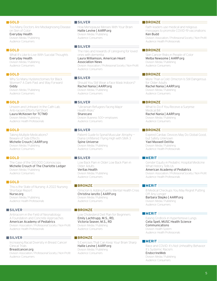#### **GOLD**

Too Many Doctors Are Misdiagnosing Disease on Skin of Color Everyday Health

Division: Media / Publishing Audience: Consumers

#### **GOLD**

What It's Like to Live WIth Suicidal Thoughts Everyday Health Division: Media / Publishing Audience: Consumers

#### **GOLD**

Why So Many Hysterectomies for Black Women? A Dark Past and Way Forward Giddy Division: Media / Publishing Audience: Consumers

#### **GOLD**

Unseen and Unheard: In the Cath Lab, Anti-racism Efforts Fall Short Laura McKeown for TCTMD Division: Media / Publishing Audience: Health Professionals

## **GOLD**

Taking Multiple Medications? Beware of Side Effects Michelle Crouch | AARP.org Division: Media / Publishing Audience: Consumers

# **GOLD**

The Case of the \$10,000 Colonoscopy Michelle Crouch of The Charlotte Ledger Division: Media / Publishing Audience: Consumers

## **GOLD**

This is the State of Nursing: A 2022 Nursing Shortage Report Nurse.org Division: Media / Publishing Audience: Health Professionals

#### **SILVER**

Antiracism in the Field of Neonatology: A Foundation and Concrete Approaches American Academy of Pediatrics Division: Association / Professional Society / Non-Profit Audience: Health Professionals

# **SILVER**

Increasing Racial Diversity in Breast Cancer Clinical Trials

Breastcancer.org

Division: Association / Professional Society / Non-Profit Audience: Consumers

# **SILVER**

How Menopause Messes With Your Brain Hallie Levine | AARP.org Division: Media / Publishing Audience: Consumers

# **SILVER**

The risks and rewards of caregiving for loved ones with dementia Laura Williamson, American Heart

Association News Division: Association / Professional Society / Non-Profit Audience: Consumers

# **SILVER**

Should You Still Wear a Face Mask Indoors? Rachel Nania | AARP.org Division: Media / Publishing Audience: Consumers

## **SILVER**

"Ukrainian Refugees Facing Major Health Risks"

Sharecare Division: Business: 500+ employees Audience: Consumers

# **SILVER**

Patient Guide to Spinal Muscular Atrophy — Diana Unfiltered: Flying High with SMA 3 Spine Universe Division: Media / Publishing Audience: Consumers

# **SILVER**

Low Back Pain in Older Low Back Pain in Older Adults Veritas Health Division: Media / Publishing Audience: Consumers

## **BRONZE**

Omicron Is Adding Fuel to Mental Health Crisis Christina Ianzito | AARP.org Division: Media / Publishing Audience: Consumers

# **BRONZE**

Low Cholesterol Diet Plan for Beginners Emily Lachtrupp, M.S., RD, Victoria Seaver, M.S., RD Division: Media / Publishing Audience: Consumers

# **BRONZE**

5 Exercises That Can Keep Your Brain Sharp Hallie Levine | AARP.org Division: Media / Publishing Audience: Consumers

# **BRONZE**

Faith leaders use medical and religious messages to promote COVID-19 vaccinations Ken Budd

Division: Association / Professional Society / Non-Profit Audience: Health Professionals

#### **BRONZE**

Skin Cancer Risks in People of Color Melba Newsome | AARP.org Division: Media / Publishing Audience: Consumers

# **BRONZE**

More Than a Cold: Omicron Is Still Dangerous for Older Adults Rachel Nania | AARP.org Division: Media / Publishing Audience: Consumers

## **BRONZE**

What to Do if You Receive a Surprise Medical Bill

Rachel Nania | AARP.org Division: Media / Publishing Audience: Consumers

# **BRONZE**

Expired Cardiac Devices May Do Global Good, but Safety Unknown Yael Maxwell DeVita Division: Media / Publishing Audience: Health Professionals

#### **MERIT**

Gender Equity in Pediatric Hospital Medicine: What History Tells Us

American Academy of Pediatrics Division: Association / Professional Society / Non-Profit Audience: Health Professionals

## **MERIT**

8 Medical Checkups You May Regret Putting Off Any Longer Barbara Stepko | AARP.org Division: Media / Publishing Audience: Consumers

## **MERIT**

Easing Gridlock in Hypertensive Lungs Celia Spell, MUSC Health Science Communications Division: Health System Audience: Health Professionals

#### **MERIT**

Race and COVID: It's Not Unhealthy Behavior. It's Systemic Racism. EndocrineWeb Division: Media / Publishing Audience: Consumers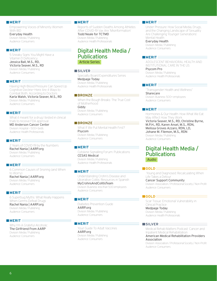Empowering Voices of Minority Women With IBD

Everyday Health Division: Media / Publishing Audience: Consumers

# **MERIT**

5 Sneaky Signs You Might Have a Vitamin D Deficiency Jessica Ball, M.S., RD, Victoria Seaver, M.S., RD Division: Media / Publishing Audience: Consumers

#### **MERIT**

Having High-Blood Pressure Can Speed Up Cognitive Decline—Here Are 4 Ways to Combat Both, According to Doctors Karla Walsh, Victoria Seaver, M.S., RD

Division: Media / Publishing Audience: Consumers

# **MERIT**

What it meant for a drug I tested in clinical trials to receive FDA approval MD Anderson Cancer Center Division: Hospital — 500+ beds Audience: Health Professionals

#### **MERIT**

2 Years of COVID-19 by the Numbers Rachel Nania | AARP.org Division: Media / Publishing Audience: Consumers

## **MERIT**

6 Common Causes of Snoring (and When to Worry) Rachel Nania | AARP.org Division: Media / Publishing Audience: Consumers

# **MERIT**

6 Superbug Myths: What Really Happens When Germs Defeat Drugs Rachel Nania | AARP.org Division: Media / Publishing Audience: Consumers

# **MERIT**

Why I'm A Grateful Alcoholic The Girlfriend From AARP Division: Media / Publishing Audience: Consumers

#### **MERIT**

Reports of Sudden Deaths Among Athletes After COVID-19 Vax Are 'Misinformation'

Todd Neale for TCTMD Division: Media / Publishing Audience: Health Professionals

# Digital Health Media / Publications Article Series

#### **SILVER**

Specialty Board Expenditures Series Medpage Today Division: Media / Publishing Audience: Health Professionals

# **BRONZE**

When the Bough Breaks: The True Cost of Motherhood Giddy Division: Media / Publishing Audience: Consumers

# **BRONZE**

What If We Put Mental Health First? Psycom Division: Media / Publishing Audience: Consumers

## **MERIT**

Cytokine Signalling Forum: Publications CESAS Medical Division: Media / Publishing Audience: Health Professionals

#### **MERIT**

Understanding Crohn's Disease and Ulcerative Colitis: Resources in Spanish MyCrohnsAndColitisTeam Division: Business: less than 500 employees Audience: Consumers

#### **MERIT**

Diabetes Prevention Guide AARP.org Division: Media / Publishing Audience: Consumers

#### **MERIT**

Your Guide To Adult Vaccines AARP.org Division: Media / Publishing Audience: Consumers

#### **MERIT**

Under Pressure: How Social Media, Drugs, and the Changing Landscape of Sexuality Are Challenging Younger Generations' Mental Health Everyday Health

Division: Media / Publishing Audience: Consumers

# **MERIT**

ADOLESCENT BEHAVIORAL HEALTH AND INSTITUTIONAL CARE IN THE US Psycom Pro Division: Media / Publishing Audience: Health Professionals

## **MERIT**

"Transgender Health and Wellness" Sharecare Division: Business: 500+ employees Audience: Consumers

# **MERIT**

Hormones & Our Health: How What We Eat May Affect How They Work Victoria Seaver, M.S., RD, Christine Byrne, M.P.H., RD, Karen Ansel, M.S., RDN, Melissa Groves Azzaro, RDN, LD, Johane M. Filemon, M.S., RDN Division: Media / Publishing Audience: Consumers

# Digital Health Media / Publications Audio

#### **GOLD**

 Young and Diagnosed: Recalculating When Life Takes a Detour Cancer Support Community Division: Association / Professional Society / Non-Profit Audience: Consumers

#### **GOLD**

Scar Tissue: Emotional Vulnerability in Clinical Practice

Medpage Today Division: Media / Publishing Audience: Health Professionals

#### **SILVER**

Medical Rehab Matters Podcast: Cancer and Inpatient Medical Rehabilitation American Medical Rehabilitation Providers Association

Division: Association / Professional Society / Non-Profit Audience: Consumers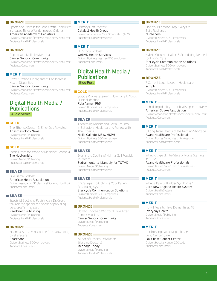Sports and Exercise for People with Disabilities; Increased Rates of Underinsured Children American Academy of Pediatrics

Division: Association / Professional Society / Non-Profit Audience: Health Professionals

## **BRONZE**

Coping with Multiple Myeloma Cancer Support Community Division: Association / Professional Society / Non-Profit Audience: Consumers

#### **MERIT**

How Utilization Management Can Increase Health Disparities Cancer Support Community

Division: Association / Professional Society / Non-Profit Audience: Consumers

# Digital Health Media / **Publications** Audio Series

# **GOLD**

The Etherist—Season 3: Ether Day Revisited Anesthesiology News Division: Media / Publishing Audience: Health Professionals

# **GOLD**

Stories from the World of Medicine: Season 4 The Nocturnists Division: Media / Publishing Audience: Health Professionals

# **SILVER**

Live Fierce Podcast American Heart Association Division: Association / Professional Society / Non-Profit Audience: Consumers

## **SILVER**

Specialist Spotlight: Pediatrician, Dr. Cronyn talks on the specialized needs of providing gender-affirming care PeerDirect Publishing

Division: Media / Publishing Audience: Health Professionals

# **BRONZE**

Financial Stress Mini Course from Unwinding by Sharecare Sharecare

Division: Business: 500+ employees Audience: Consumers

# **MERIT**

Primary First Podcast Catalyst Health Group Division: Accountable Care Organization (ACO) Audience: Health Professionals

# **MERIT**

HR Scoop Podcast WebMD Health Services Division: Business: less than 500 employees Audience: Consumers

# Digital Health Media / **Publications** Blog Post

**GOLD**

Suicide Risk Assessment: How To Talk About Suicidal Ideation Rola Aamar, PhD Division: Business: 500+ employees Audience: Health Professionals

#### **SILVER**

Addressing Racism and Racial Trauma In Behavioral Healthcare: A Review With The Experts Nellie Galindo, MSW, MSPH Division: Business: 500+ employees Audience: Health Professionals

#### **SILVER**

Even in the Depths of Hell, It's Still Possible to Dream Sedralmontaha Istanbuly for TCTMD Division: Media / Publishing Audience: Health Professionals

**SILVER**

11 Strategies To Optimize Your Patient Scheduling System Stericycle Communication Solutions Division: Business: 500+ employees Audience: Health Professionals

#### **BRONZE**

How to Choose a Wig You'll Love After Cancer Hair Loss Cancer Support Community Division: Media / Publishing Audience: Consumers

# **BRONZE**

Is Fear of Hospital Retaliation Silencing Doctors? Medpage Today Division: Media / Publishing Audience: Health Professionals

# **BRONZE**

Find Your Personal Top 3 Ways to Build Resilience Nurse.com

Division: Business: 500+ employees Audience: Health Professionals

#### **BRONZE**

Hybrid Communication & Scheduling Needed for Hybrid Care Stericycle Communication Solutions Division: Business: 500+ employees Audience: Health Professionals

# **BRONZE**

7 Current Legal Issues in Healthcare symplr Division: Business: 500+ employees Audience: Health Professionals

#### **MERIT**

Rebuilding identity — a critical step in recovery American Stroke Association Division: Association / Professional Society / Non-Profit Audience: Consumers

#### **MERIT**

5 Long-Term Effects of the Nursing Shortage Avant Healthcare Professionals Division: Nurses / Allied Health Professionals Audience: Health Professionals

## **MERIT**

What to Expect: The State of Nurse Staffing in 2022

Avant Healthcare Professionals Division: Nurses / Allied Health Professionals Audience: Consumers

#### **MERIT**

What is Painful Bladder Syndrome? Care New England Health System Division: Health System Audience: Consumers

#### **MERIT**

How It Feels to Have Dementia at 48 Everyday Health Division: Media / Publishing Audience: Consumers

#### **MERIT**

Confronting Racial Disparities in Lung Cancer Care Fox Chase Cancer Center Division: Hospital — under 250 beds Audience: Consumers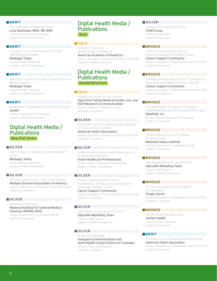The Silent Rise of Maternal Sepsis Lora Sparkman, MHA, RN, BSN Division: Business: 500+ employees Audience: Health Professionals

# **MERIT**

A Lesson in Vaccine Hesitancy From My Half-Vaxxed Daughter

Medpage Today Division: Media / Publishing Audience: Health Professionals

# **MERIT**

Walmart's Low-Price Insulin Is a Band-Aid on a Broken System Medpage Today

Division: Media / Publishing Audience: Health Professionals

# **MERIT**

Healthcare Compliance: All You Need To Know symplr

Division: Business: 500+ employees Audience: Health Professionals

# Digital Health Media / **Publications** Blog Post Series

**SILVER**

Milton Packer's "Revolution and Revelation" Series

Medpage Today Division: Media / Publishing Audience: Health Professionals

#### **SILVER**

Ask the Expert Series — MS Conversations Multiple Sclerosis Association of America Division: Association / Professional Society / Non-Profit Audience: Consumers

#### **SILVER**

Biomedical Beat Blog National Institute for General Medical Sciences (NIGMS) (NIH) Division: Government (Local/State/Federal) Audience: Consumers

# Digital Health Media / **Publications** Book

#### **GOLD**

Pediatric Collections: Sports Medicine Playbook American Academy of Pediatrics Division: Association / Professional Society / Non-Profit Audience: Health Professionals

# Digital Health Media / **Publications** Booklet/Brochure

**GOLD**

Grown Ups Show Up! Tips Sheets Open Door Family Medical Centers, Inc. and KDH Research & Communication Division: Physicians / Medical Practices Audience: Consumers

#### **SILVER**

Fall Family Foods: 10 Quick and Easy Recipes to Cook and Eat Together

American Heart Association Division: Association / Professional Society / Non-Profit Audience: Consumers

# **SILVER**

Understanding Violence and Aggression in the Nursing Profession

Avant Healthcare Professionals Division: Nurses / Allied Health Professionals Audience: Health Professionals

# **SILVER**

Frankly Speaking About Cancer: Maintenance Therapy for Advanced and Metastatic Bladder Cancer Cancer Support Community

Division: Association / Professional Society / Non-Profit Audience: Consumers

# **SILVER**

b2b-ebook-rising-cost-orx4275725 OptumRx Marketing Team Division: Health System Audience: Health Professionals

#### **SILVER**

Bright Start Booklet Vanguard Communications and AmeriHealth Caritas District of Columbia Division: Other / Miscellaneous Audience: Consumers

# **SILVER**

VUMI's 2021 Corporate Profile VUMI Group Division: Health Insurer Audience: Consumers

# **BRONZE**

Frankly Speaking About Cancer: Immunotherapy for Bladder Cancer Cancer Support Community Division: Association / Professional Society / Non-Profit

Audience: Consumers

# **BRONZE**

Frankly Speaking About Cancer: Spotlight on Advanced Non-Melanoma Skin Cancers Cancer Support Community Division: Association / Professional Society / Non-Profit Audience: Consumers

## **BRONZE**

The Adventures of Captain Contributor: Health Reimbursement Account (HRA) Issue DataPath, Inc.

Division: Business: less than 500 employees Audience: Consumers

# **BRONZE**

Understanding Cervical Changes: A Health Guide National Cancer Institute

Division: Government (Local/State/Federal) Audience: Consumers

# **BRONZE**

b2b-ebook-best-pbm-orx4275739 OptumRx Marketing Team Division: Health System Audience: Health Professionals

## **BRONZE**

A Practical Guide to Cancer Rights for Caregivers Triage Cancer Division: Association / Professional Society / Non-Profit Audience: Consumers

# **BRONZE**

Veritas Health Holiday Guide Veritas Health Division: Media / Publishing Audience: Consumers

# **MERIT**<sub>=</sub>

10 Under 10: Easy Winter Meals (and More!) American Heart Association Division: Association / Professional Society / Non-Profit Audience: Consumers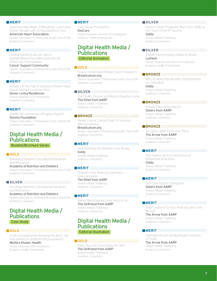Easy Everyday Meals: 15 Breakfast, Lunch and Dinner Recipes with 10 Ingredients or Less

American Heart Association

Division: Association / Professional Society / Non-Profit Audience: Consumers

# **MERIT**

Frankly Speaking About Cancer: Multiple Myeloma in Black and African American Communities

# Cancer Support Community

Division: Association / Professional Society / Non-Profit Audience: Consumers

# **MERIT**

Answers to the Top 13 Questions People Have about Assisted Living Services

Senior Living Residences Division: Business: 500+ employees Audience: Consumers

#### **MERIT**

SPARK 5th-anniversary Progress Report Simons Foundation Division: Association / Professional Society / Non-Profit Audience: Consumers

# Digital Health Media / **Publications** Booklet/Brochure Series

## **GOLD**

Managing Diabetes: Educational Handouts and Resources

Academy of Nutrition and Dietetics Division: Association / Professional Society / Non-Profit Audience: Consumers

# **SILVER**

Oncology Nutrition: Educational Handouts and Resources

Academy of Nutrition and Dietetics Division: Association / Professional Society / Non-Profit Audience: Consumers

# Digital Health Media / **Publications** Case Study

# **GOLD**

Trust is fundamental: Bringing the Best Care Everywhere to underserved populations Wolters Kluwer, Health Division: Business: 500+ employees Audience: Health Professionals

# **MERIT**

Case Study: Providence DexCare Division: Business: less than 500 employees Audience: Health Professionals

# Digital Health Media / Publications Editorial Animation

#### **GOLD**

How to Understand Breast Cancer Research Breastcancer.org

Division: Association / Professional Society / Non-Profit Audience: Consumers

**SILVER**

The Death, Divorce and Illness Etiquette Guide The Ethel from AARP Division: Media / Publishing Audience: Consumers

# **BRONZE**

Breast Cancer Clinical Trials: 5 Common **Misconceptions** Breastcancer.org Division: Association / Professional Society / Non-Profit

Audience: Consumers

# **MERIT**

How Working Out Benefits Your Boobs Giddy Division: Media / Publishing Audience: Consumers

# **MERIT**

Sharpen Your Brain by Learning a New Language The Ethel from AARP Division: Media / Publishing Audience: Consumers

#### **MERIT**

Banish Bikini Bumps Once And For All The Girlfriend from AARP Division: Media / Publishing Audience: Consumers

# Digital Health Media / Publications

Editorial Illustration

#### **GOLD**

Have You Lost Your Desire For Sex? The Girlfriend from AARP Division: Media / Publishing Audience: Consumers

#### **SILVER**

Doctor's Note: Pregnant? Run, Don't Walk, to Get Your COVID-19 Vaccine Giddy

Division: Media / Publishing Audience: Consumers

# **SILVER**

Digital Transformation Maturity Model Lumeon Division: Business: less than 500 employees Audience: Health Professionals

# **BRONZE**

Why So Many People With Schizophrenia Go Untreated Giddy Division: Media / Publishing Audience: Consumers

## **BRONZE**

Is Body Mass Index Racist? Sisters from AARP Division: Media / Publishing Audience: Consumers

## **BRONZE**

An Open Letter From Your Penis The Arrow from AARP Division: Media / Publishing Audience: Consumers

## **MERIT**

The Nuance and Consequence of Behavioral Addictions Giddy Division: Media / Publishing Audience: Consumers

## **MERIT**

Self-Care Tips for Caregivers Sisters from AARP Division: Media / Publishing Audience: Consumers

## **MERIT**

How I Learned To Stop Worrying and Love My Gut

The Arrow from AARP Division: Media / Publishing Audience: Consumers

# **MERIT**

I Demand Access to Paul Rudd's Fountain of Youth

The Arrow from AARP Division: Media / Publishing Audience: Consumers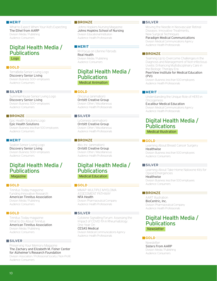What to Expect When Your Kid's Expecting The Ethel from AARP Division: Media / Publishing Audience: Consumers

# Digital Health Media / **Publications** Logo

#### **GOLD**

TerraBella Senior Living Logo Discovery Senior Living Division: Business: 500+ employees Audience: Consumers

#### **SILVER**

SummerHouse Senior Living Logo Discovery Senior Living Division: Business: 500+ employees Audience: Consumers

# **BRONZE**

Epic Health Solutions Logo Epic Health Solutions Division: Business: less than 500 employees Audience: Consumers

# **MERIT**

Seaton Senior Living Logo Discovery Senior Living Division: Business: 500+ employees Audience: Consumers

# Digital Health Media / **Publications** Magazine

**GOLD** $\equiv$ 

Tinnitus Today magazine: Funding Innovative Research American Tinnitus Association Division: Media / Publishing Audience: Consumers

#### **GOLD**

Tinnitus Today magazine: What to Do About Tinnitus American Tinnitus Association Division: Media / Publishing Audience: Consumers

#### **SILVER**

Preserving Your Memory Magazine The Zachary and Elizabeth M. Fisher Center for Alzheimer's Research Foundation

Division: Association / Professional Society / Non-Profit Audience: Consumers

#### **BRONZE**

Johns Hopkins Nursing Magazine Johns Hopkins School of Nursing Division: Educational Institution Audience: Health Professionals

# **MERIT**

RH Focus on Uterine Fibroids Real Health Division: Media / Publishing Audience: Consumers

# Digital Health Media / Publications Medical Animation

#### **GOLD** $\equiv$

Oncorus (animation) Orrbitt Creative Group Division: Other / Miscellaneous Audience: Health Professionals

# **SILVER**

LyGenesis (animation) Orrbitt Creative Group Division: Other / Miscellaneous Audience: Health Professionals

# **BRONZE**

iBio, Inc. (animation) Orrbitt Creative Group Division: Other / Miscellaneous Audience: Health Professionals

# Digital Health Media / Publications Medical Education

#### **GOLD** $\equiv$

MMAP: MULTIPLE MYELOMA ASSESSMENT PATHWAY NFA Health

Division: Pharmaceutical Company Audience: Health Professionals

# **SILVER**

Cytokine Signalling Forum: Assessing the Impact of COVID-19 in Rheumatology: One Year On

CESAS Medical Division: Medical Communications Agency Audience: Health Professionals

#### **SILVER**

Moving the Needle in Neovascular Retinal Diseases: Innovative Treatments, New Surgical Techniques Paradigm Medical Communications Division: Medical Communications Agency

Audience: Health Professionals

# **BRONZE**

Teaming Up to Overcome Challenges in the Diagnosis and Management of Non-infectious Uveitis: Enhancing Multidisciplinary Care in the Biologic Therapy Era

#### PeerView Institute for Medical Education (PVI)

Division: Business: less than 500 employees Audience: Health Professionals

# **MERIT**

Understanding the Unique Role of HER3 in Oncogenesis Excalibur Medical Education

Division: Medical Communications Agency Audience: Health Professionals

# Digital Health Media / **Publications** Medical Illustration

# **GOLD**

Learning About Breast Cancer Surgery **Healthwise** Division: Business: less than 500 employees Audience: Consumers

#### **SILVER**

Learning About Take-Home Naloxone Kits for Opioid Emergencies Healthwise Division: Business: less than 500 employees Audience: Consumers

# **BRONZE**

AART Illustration BioCentric, Inc. Division: Pharmaceutical Company Audience: Health Professionals

# Digital Health Media / **Publications Newsletter**

# **GOLD**

Newsletter Sisters From AARP Division: Media / Publishing Audience: Consumers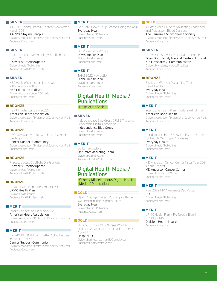# **SILVER**

AARP® Staying Sharp® Content Newsletter March 2021

AARP® Staying Sharp® Division: Association / Professional Society / Non-Profit Audience: Consumers

# **SILVER**

PracticeUpdate Dermatology, Spotlight On COVID-19 Elsevier's PracticeUpdate Division: Media / Publishing

Audience: Health Professionals

# **SILVER**

HSS Health Connection: Living with Inflammatory Arthritis HSS Education Institute Division: Hospital — under 250 beds Audience: Consumers

#### **BRONZE**

Heart Insight (January 2022) American Heart Association Division: Association / Professional Society / Non-Profit Audience: Consumers

#### **BRONZE**

CSC Talks Survivorship with Emmy Winner Sterling K. Brown Cancer Support Community Division: Association / Professional Society / Non-Profit Audience: Consumers

# **BRONZE**

PracticeUpdate Spotlight On Psoriosis Elsevier's PracticeUpdate Division: Media / Publishing Audience: Health Professionals

# **BRONZE**

UPMC Health Plan — December PPU UPMC Health Plan Division: Health Insurer Audience: Health Professionals

# **MERIT**

Stroke Connection (January 2022) American Heart Association Division: Association / Professional Society / Non-Profit Audience: Consumers

# **MERIT**

BREAKING — Build Back Better Act Advances in the U.S. House

# Cancer Support Community

Division: Association / Professional Society / Non-Profit Audience: Consumers

#### **MERIT**

Self-Care: How's Soup Season Going for You? Everyday Health Division: Media / Publishing Audience: Consumers

# **MERIT**

2022 Welcome Waves UPMC Health Plan Division: Health Insurer Audience: Consumers

# **MERIT**

TAHS 2022 Newsletter UPMC Health Plan Division: Health Insurer Audience: Consumers

# Digital Health Media / Publications Newsletter Series

#### **SILVER**

Independence Blue Cross CRM & Thought Leadership Digital Campaign Independence Blue Cross

Division: Health Insurer Audience: Consumers

#### **MERIT**

perks newsletters OptumRx Marketing Team Division: Health System Audience: Health Professionals

# Digital Health Media / **Publications**

Other / Miscellaneous Digital Health Media / Publication

# **GOLD** $\equiv$

Health Changemakers: Pushing for Better Well-Being in Their Communities Everyday Health

Division: Media / Publishing Audience: Consumers

#### $\blacksquare$  GOLD  $\equiv$

Nursing in Crisis: Why Nurses Want To Quit and What Healthcare Leaders Can Do About It Hospital IQ

Division: Business: less than 500 employees Audience: Health Professionals

# **GOLD**

A Caregiver's Guide to Navigating Childhood and Adolescent Blood Cancers The Leukemia & Lymphoma Society

Division: Association / Professional Society / Non-Profit Audience: Consumers

# **SILVER**

Grown Ups Show Up Social Media Images Open Door Family Medical Centers, Inc. and KDH Research & Communication Division: Physicians / Medical Practices Audience: Consumers

## **BRONZE**

Stories of Women Reclaiming Their Heart Health Everyday Health Division: Media / Publishing Audience: Consumers

#### **MERIT**

Your Bone Health Plan (moderate/high risk) American Bone Health Division: Association / Professional Society / Non-Profit Audience: Consumers

## **MERIT**

Condition Kitchen: 3 Easy, Feel-Good Recipes for People With Type 2 Diabetes Everyday Health

Division: Media / Publishing Audience: Consumers

# **MERIT**

MD Anderson Cancer Center Fiscal Year 2021 Annual Report

MD Anderson Cancer Center Division: Hospital — 500+ beds Audience: Consumers

#### **MERIT**

POZ 2022 HIV Awareness Day Poster POZ Division: Media / Publishing Audience: Consumers

#### **MERIT**

UPMC Health Plan — PA Takes a Breath UPMC Health Plan Division: Health Insurer Audience: Consumers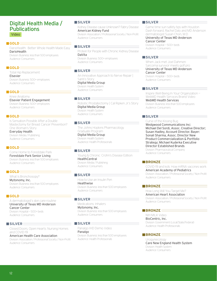# Digital Health Media / **Publications** Video

#### **GOLD**

DarioHealth: Better Whole Health Made Easy **DarioHealth** Division: Business: less than 500 employees

Audience: Consumers

# **GOLD**

Total Hip Replacement Elsevier Division: Business: 500+ employees Audience: Consumers

# **GOLD**

Knee Anatomy Elsevier Patient Engagement Division: Business: 500+ employees Audience: Consumers

## **GOLD**

Is Sensation Possible After a Double Mastectomy for Breast Cancer Prevention? One Woman's Story Everyday Health

Division: Media / Publishing Audience: Consumers

# **GOLD**

Come Home to Forestdale Park Forestdale Park Senior Living Division: Business: less than 500 employees Audience: Consumers

# **GOLD**

What Is Bronchosopy? Mytonomy, Inc. Division: Business: less than 500 employees Audience: Consumers

## **GOLD**

A dermatologist's skin care routine University of Texas MD Anderson Cancer Center Division: Hospital — 500+ beds Audience: Consumers

#### **SILVER**

Closed Doors, Open Hearts: Nursing Homes and COVID-19 American Health Care Association Division: Association / Professional Society / Non-Profit Audience: Consumers

# **SILVER**

Kidney Disease cause Unknown? Fabry Disease American Kidney Fund

Division: Association / Professional Society / Non-Profit Audience: Consumers

# **SILVER**

Protein for People with Chronic Kidney Disease DaVita Division: Business: 500+ employees Audience: Consumers

# **SILVER**

An Innovative Approach to Nerve Repair | Santi's Story Digital Media Group Division: Health System Audience: Consumers

# **SILVER**

Robotic Prostatectomy | Cal Ripken Jr.'s Story Digital Media Group Division: Health System Audience: Consumers

# **SILVER**

The Johns Hopkins Pharmacology Graduate Program Digital Media Group

Division: Health System Audience: Health Professionals

## **SILVER**

Young & Chronic: Crohn's Disease Edition **HealthCentral** Division: Media / Publishing Audience: Consumers

#### **SILVER**

How to Use an Insulin Pen **Healthwise** Division: Business: less than 500 employees Audience: Consumers

# **SILVER**

Medications: Inhalers Mytonomy, Inc. Division: Business: less than 500 employees Audience: Consumers

#### **SILVER**

Panalgo IHD Demo Video Panalgo Division: Business: less than 500 employees Audience: Health Professionals

# **SILVER**

Game time sun-safety tips with Houston Dash forward, Rachel Daly and MD Anderson dermatologist Susan Chon, M.D. University of Texas MD Anderson

# Cancer Center

Division: Hospital — 500+ beds Audience: Consumers

# **SILVER**

When Jack met Joel Dahmen: Sarcoma survivor meets golf pro University of Texas MD Anderson Cancer Center Division: Hospital — 500+ beds Audience: Consumers

# **SILVER**

Inspire Well-Being In Your Organization — WebMD Health Services Brand Video

WebMD Health Services Division: Business: less than 500 employees Audience: Consumers

# **SILVER**

Curse of the Kissing Bug Wedgwood Communications Inc: Michael Del Sordi, Assoc. Creative Director; Susan Hadley, Account Director. Bayer: Sonali Sharma, Assoc. Director New Product Commercialization & Portfolio Strategy; Michael Kuderka Executive Director Established Brands

Division: Pharmaceutical Company Audience: Consumers

# **BRONZE**

COVID-19 and kids: How mRNA vaccines work American Academy of Pediatrics Division: Association / Professional Society / Non-Profit Audience: Consumers

#### **BRONZE**

How Long Will You Target Me? American Heart Association Division: Association / Professional Society / Non-Profit Audience: Consumers

# **BRONZE**

NIH MILK Video BioCentric, Inc. Division: Government (Local/State/Federal) Audience: Health Professionals

#### **BRONZE**

Urogynecology Care New England Health System Division: Health System Audience: Consumers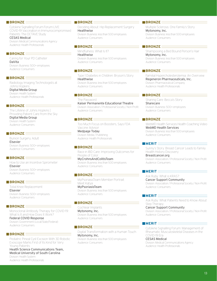Cytokine Signalling Forum Forum LIVE: COVID-19 Vaccination in Immunocompromised Patients: The OCTAVE Study CESAS Medical Division: Medical Communications Agency

Audience: Health Professionals

# **BRONZE**

Caring for Your PD Catheter DaVita Division: Business: 500+ employees Audience: Consumers

# **BRONZE**

Radiology Imaging Technologists at Johns Hopkins Digital Media Group Division: Health System Audience: Health Professionals

#### **BRONZE**

The Lifeline of Johns Hopkins I Providing Patient Care from the Sky Digital Media Group Division: Health System Audience: Consumers

# **BRONZE**

Bunion Surgery, Adult Elsevier Division: Business: 500+ employees Audience: Consumers

**BRONZE** How to Use an Incentive Spirometer Elsevier Division: Business: 500+ employees Audience: Consumers

# **BRONZE**

Total Knee Replacement Elsevier Division: Business: 500+ employees Audience: Consumers

#### **BRONZE**

Monoclonal Antibody Therapy for COVID-19: What Is It and How Does It Work? Federal COVID Response Division: Government (Local/State/Federal) Audience: Consumers

# **BRONZE**

Pediatric Pineal Cyst Excision With 3D Robotic Exoscope Marks First of Its Kind for Very Young Patients Health Science Communications Team, Medical University of South Carolina

Division: Health System Audience: Health Professionals

# **BRONZE**

Deciding About: Hip Replacement Surgery **Healthwise** Division: Business: less than 500 employees

Audience: Consumers

# **BRONZE**

Mindfulness: What Is It? Healthwise Division: Business: less than 500 employees Audience: Consumers

#### **BRONZE**

Type 1 Diabetes in Children: Bryson's Story **Healthwise** Division: Business: less than 500 employees

Audience: Consumers

# **BRONZE**

The Password Kaiser Permanente Educational Theatre Division: Association / Professional Society / Non-Profit Audience: Consumers

# **BRONZE**

Too Much Focus on Boosters, Says FDA Vaccine Advisor

Medpage Today Division: Media / Publishing Audience: Health Professionals

# **BRONZE**

Race in IBD Care: Improving Outcomes for People of Color MyCrohnsAndColitisTeam

Division: Business: less than 500 employees Audience: Consumers

#### **BRONZE**

MyPsoriasisTeam Member Portrait: Meet Katya MyPsoriasisTeam Division: Business: less than 500 employees Audience: Consumers

# **BRONZE**

Cochlear Implants Mytonomy, Inc. Division: Business: less than 500 employees Audience: Consumers

#### **BRONZE**

Digital Transformation with a Human Touch Mytonomy, Inc. Division: Business: less than 500 employees Audience: Consumers

# **BRONZE**

Multiple Sclerosis: One Family's Story Mytonomy, Inc. Division: Business: less than 500 employees Audience: Consumers

# **BRONZE**

Shampooing a Bed Bound Person's Hair Mytonomy, Inc. Division: Business: less than 500 employees Audience: Consumers

# **BRONZE**

Familial Hypercholesterolemia: An Overview Regeneron Pharmaceuticals, Inc. Division: Pharmaceutical Company Audience: Health Professionals

#### **BRONZE**

Sharing Care: Becca's Story Sharecare Division: Business: 500+ employees Audience: Consumers

# **BRONZE**

WebMD Health Services Health Coaching Video WebMD Health Services Division: Business: less than 500 employees Audience: Consumers

## **MERIT**

Sunny's Story: Breast Cancer Leads to Family Health History Discovery

Breastcancer.org Division: Association / Professional Society / Non-Profit Audience: Consumers

# **MERIT**

Ask Ruby: What is KRAS? Cancer Support Community Division: Association / Professional Society / Non-Profit Audience: Consumers

#### **MERIT**

Ask Ruby: What Patients Need to Know About Step Therapy

Cancer Support Community Division: Association / Professional Society / Non-Profit Audience: Consumers

# **MERIT**

Cytokine Signalling Forum: Management of Rheumatic Musculoskeletal Diseases in the COVID-19 Era

#### CESAS Medical

Division: Medical Communications Agency Audience: Health Professionals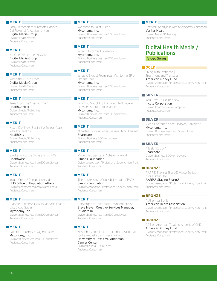Early Detection for Prostate Cancer | Cal Ripken Jr's Advice to Men Digital Media Group Division: Health System Audience: Consumers

#### **MERIT**

No One Dies Alone (NODA) Digital Media Group Division: Health System Audience: Consumers

#### **MERIT**

When the Dust Settles Digital Media Group Division: Health System Audience: Consumers

## **MERIT**

Tales From the Chemo Chair **HealthCentral** Division: Media / Publishing Audience: Consumers

**MERIT** HealthDay Now: Sex in the Senior Years: Why It's Healthy HealthDay Division: Media / Publishing Audience: Consumers

#### **MERIT**

Stroke: Know the Signs and BE FAST Healthwise Division: Business: less than 500 employees Audience: Consumers

#### **MERIT**

Youth Create! Compilation Video HHS Office of Population Affairs Division: Government (Local/State/Federal) Audience: Consumers

#### **MERIT**

Diabetes Lifestyle: How to Manage Fear of Low Blood Sugar Mytonomy, Inc. Division: Business: less than 500 employees Audience: Consumers

# **MERIT**

Patient's Journey — Vaginoplasty Mytonomy, Inc. Division: Business: less than 500 employees Audience: Consumers

## **MERIT**

Welcome to Saint Luke's Mytonomy, Inc. Division: Business: less than 500 employees Audience: Consumers

# **MERIT**

What Is Informed Consent? Mytonomy, Inc. Division: Business: less than 500 employees Audience: Consumers

# **MERIT**

What to Expect From Your Visit to the ER or Urgent Care Mytonomy, Inc. Division: Business: less than 500 employees Audience: Consumers

#### **MERIT**

Why You Should Talk to Your Health Care Provider About Colon Cancer Mytonomy, Inc. Division: Business: less than 500 employees Audience: Consumers

#### **MERIT**

"A Virtual Look at What Causes Heart Failure" Sharecare Division: Business: 500+ employees Audience: Consumers

## **MERIT**

Move the Science of Autism Forward Simons Foundation Division: Association / Professional Society / Non-Profit Audience: Consumers

#### **MERIT**

The future is full of possibilities with SPARK Simons Foundation Division: Association / Professional Society / Non-Profit Audience: Consumers

#### **MERIT**

Convergence Telehealth — Whiteboard Ad Steve Meyer, Creative Services Manager, **Studiothink** 

Division: Business: less than 500 employees Audience: Consumers

## **MERIT**

Nasopharyngeal cancer diagnosis is no match for basketball coach, Kevin Mouton University of Texas MD Anderson Cancer Center Division: Hospital — 500+ beds Audience: Consumers

#### **MERIT**

Cervical Spondylosis with Myelopathy Animation Veritas Health Division: Media / Publishing Audience: Consumers

# Digital Health Media / **Publications** Video Series

#### **GOLD**

Living with Cystinosis | Treatment and Transplant American Kidney Fund Division: Association / Professional Society / Non-Profit Audience: Consumers

## **SILVER**

You Have To Go To Know Incyte Corporation Division: Pharmaceutical Company Audience: Consumers

# **SILVER**

Video Content. Series: Hospice/Caregiver Mytonomy, Inc. Division: Business: less than 500 employees Audience: Consumers

## **SILVER**

"Health Equity" Sharecare Division: Business: 500+ employees Audience: Consumers

# **BRONZE**

AARP® Staying Sharp® Video Series "Your Brain On..." AARP® Staying Sharp® Division: Association / Professional Society / Non-Profit Audience: Consumers

#### **BRONZE**

At the Heart of It American Heart Association Division: Association / Professional Society / Non-Profit Audience: Consumers

#### **BRONZE**

ACT on Anemia | Treating Anemia of CKD American Kidney Fund Division: Association / Professional Society / Non-Profit Audience: Consumers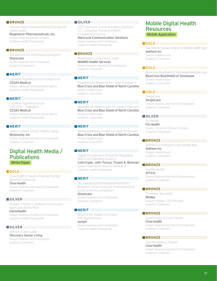Familial Hypercholesterolemia Educational Video Series

Regeneron Pharmaceuticals, Inc. Division: Pharmaceutical Company Audience: Health Professionals

#### **BRONZE**

"Movement for Ankylosing Spondylitis" Sharecare Division: Business: 500+ employees Audience: Consumers

#### **MERIT**

Cytokine Signalling Forum Forum LIVE CESAS Medical Division: Medical Communications Agency Audience: Health Professionals

## **MERIT**

Cytokine Signalling Forum: ACR 2021 — Highlights CESAS Medical Division: Medical Communications Agency

Audience: Health Professionals

# **MERIT**

Video Content. Series: Healthy Sleep Mytonomy, Inc. Division: Business: less than 500 employees Audience: Consumers

# Digital Health Media / **Publications** White Paper

#### **GOLD**

Ovia Health's Future of Family Friendly Benefits Interactive Ovia Health

Division: Business: less than 500 employees Audience: Consumers

#### **SILVER**

Multiple Chronic Conditions? A Focused Approach Works Best.

DarioHealth

Division: Business: less than 500 employees Audience: Health Professionals

# **SILVER**

Memory Care Guide Discovery Senior Living Division: Business: 500+ employees Audience: Consumers

## **SILVER**

2021 Stericycle Communication Solutions U.S. Consumer Trends in Patient Engagement Survey

Stericycle Communication Solutions Division: Business: 500+ employees Audience: Health Professionals

# **BRONZE**

Meaningful Connections Guide WebMD Health Services Division: Business: less than 500 employees Audience: Consumers

## **MERIT**

Engagement Blueprint for Large Employers Blue Cross and Blue Shield of North Carolina Division: Health Insurer Audience: Consumers

## **MERIT**

Spotlight on Health Equity for Large Employers Blue Cross and Blue Shield of North Carolina Division: Health Insurer Audience: Consumers

#### **MERIT**

Wellbeing@Work Toolkit for Large Employers Blue Cross and Blue Shield of North Carolina Division: Health Insurer Audience: Consumers

#### **MERIT**

Digital Therapeutics Should Be Regulated With Gold-Standard Evidence Colin Espie, John Torous, Troyen A. Brennan Division: Business: less than 500 employees Audience: Health Professionals

#### **MERIT**

"Accelerating Decentralized Real-World Research: Smart Omix for Pharmaceutical & Life Sciences Companies" Sharecare

Division: Business: 500+ employees Audience: Consumers

#### **MERIT**

Beyond the Digital Front Door: The Digital House symplr

Division: Business: 500+ employees Audience: Health Professionals

# Mobile Digital Health Resources Mobile Application

#### **GOLD** $\equiv$

Say Hello to Sydney, Anthem's Mobile Health App Anthem Inc Division: Health Insurer Audience: Consumers

# **GOLD**

BlueCross BlueShield of Tennessee Member App BlueCross BlueShield of Tennessee Division: Health Insurer Audience: Consumers

#### **GOLD**

SingleCare **SingleCare** Division: Business: less than 500 employees Audience: Consumers

# **SILVER**

Flo Health Flo Health Division: Consumer Product Company Audience: Consumers

# **BRONZE**

Anthem's EmployerAccess Mobile App Anthem Inc Division: Health Insurer Audience: Consumers

# **BRONZE**

Huddle Health DrFirst Division: Business: less than 500 employees Audience: Consumers

#### **BRONZE**

Children's Wisconsin Modea Division: Hospital — 250-499 beds Audience: Consumers

# **BRONZE**

Ovia Fertility & Cycle Tracker Ovia Health Division: Business: less than 500 employees Audience: Consumers

#### **BRONZE**

Ovia Pregnancy Tracker Ovia Health Division: Business: less than 500 employees Audience: Consumers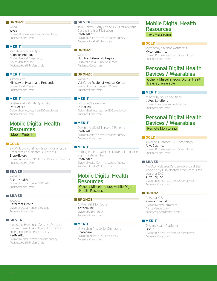Wysa Wysa Division: Business: less than 500 employees Audience: Consumers

## **MERIT**

Invisalign Practice App Align Technology Division: Medical Equipment / Device Manufacturer Audience: Health Professionals

# **MERIT**

Alhosn App Ministry of Health and Prevention Division: Health System Audience: Consumers

## **MERIT**

OneRecord's Mobile Application OneRecord Division: Business: less than 500 employees Audience: Consumers

# Mobile Digital Health Resources Mobile Website

#### **GOLD**

StopAfib.org Atrial Fibrillation Awareness & Resources For Patients By Patients

StopAfib.org Division: Association / Professional Society / Non-Profit Audience: Consumers

# **SILVER**

Website Arbor Health Division: Hospital — under 250 beds Audience: Consumers

# **SILVER**

Website Bitterroot Health Division: Hospital — under 250 beds Audience: Consumers

#### **SILVER**

Metastatic Hormone-Sensitive Prostate Cancer: Benefits and Risks of Current and Emerging Treatment Options RedMedEd

Division: Medical Communications Agency Audience: Health Professionals

#### **SILVER**

Take Control: Early Use of AADs for Rhythm Control in Atrial Fibrillation RedMedEd

Division: Medical Communications Agency Audience: Health Professionals

#### **BRONZE**

Website Humboldt General Hospital Division: Hospital — under 250 beds Audience: Consumers

# **BRONZE**

Website Val Verde Regional Medical Center Division: Hospital — under 250 beds Audience: Consumers

# **MERIT**

DarioHealth Website **DarioHealth** Division: Business: less than 500 employees Audience: Consumers

# **MERIT**

Day in the Life of Three UC Patients RedMedEd Division: Medical Communications Agency Audience: Consumers

# **MERIT**

Putting Patients With Ulcerative Colitis on the Right Treatment Path RedMedEd

Division: Medical Communications Agency Audience: Health Professionals

# Mobile Digital Health Resources

Other / Miscellaneous Mobile Digital Health Resource

## **BRONZE**

Anthem Skill for Alexa Anthem Inc Division: Health Insurer Audience: Consumers

#### **MERIT**

Unwinding Anxiety by Sharecare Sharecare Division: Business: 500+ employees Audience: Consumers

# Mobile Digital Health Resources Text Messaging

#### **GOLD** $\equiv$

Mytonomy's Mobile Workflows Mytonomy, Inc. Division: Business: less than 500 employees Audience: Consumers

# Personal Digital Health Devices / Wearables

Other / Miscellaneous Digital Health Device / Wearable

# **MERIT**

minder by obVus Solutions obVus Solutions Division: Consumer Product Company Audience: Consumers

# Personal Digital Health Devices / Wearables Remote Monitoring

#### **GOLD**

AliveCor's Remote ECG Technology AliveCor, Inc. Division: Business: less than 500 employees Audience: Consumers

# **SILVER**

AliveCor Releases KardiaMobile Card: the world's only FDA-cleared, credit-card-sized personal EKG

AliveCor, Inc. Division: Business: less than 500 employees Audience: Consumers

# **BRONZE**

Persona IQ® Zimmer Biomet Division: Medical Equipment / Device Manufacturer Audience: Health Professionals

#### **MERIT**

Origin's Health Platform Origin Division: Business: less than 500 employees Audience: Consumers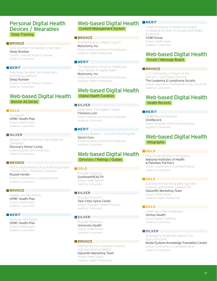# Personal Digital Health Devices / Wearables Sleep Tracking

# **BRONZE**

Sleep Number Climate360 smart bed Sleep Number Division: Consumer Product Company Audience: Consumers

#### **MERIT**

New Sleep Number 360 smart bed technology platform Sleep Number Division: Consumer Product Company Audience: Consumers

# Web-based Digital Health Banner Ad Series

#### **GOLD**

Flu Season UPMC Health Plan Division: Health Insurer Audience: Consumers

#### **SILVER**

Because She's Mom/He's Dad Digital Ad Campaign Discovery Senior Living

Division: Business: 500+ employees Audience: Consumers

## **BRONZE**

HIDTA (High Intensity Drug Trafficking Areas) "Franken-Pills" Overdose Campaign

Russell Herder Division: Government (Local/State/Federal) Audience: Consumers

## **BRONZE**

Healthy You Block Party UPMC Health Plan Division: Health Insurer Audience: Consumers

#### **MERIT**

Medicare AEP Digital UPMC Health Plan Division: Health Insurer Audience: Consumers

# Web-based Digital Health

Content Management System

# **BRONZE**

The Mytonomy Content Cloud™ Mytonomy, Inc. Division: Business: less than 500 employees Audience: Health Professionals

#### **MERIT**

The Mytonomy Cloud for Healthcare: Your Partner in Digital Health Mytonomy, Inc.

Division: Business: less than 500 employees Audience: Health Professionals

# Web-based Digital Health

Digital Health Curation

## **SILVER**

What does "FSA eligible" mean? FSAstore.com Division: Business: less than 500 employees Audience: Consumers

#### **MERIT**

Schnuck Markets — Good For You Program Spoon Guru Division: Business: less than 500 employees Audience: Consumers

# Web-based Digital Health Directory / Ratings / Guides

## **GOLD**

Provider Directory SoutheastHEALTH Division: Health System Audience: Consumers

# **SILVER**

Provider Directory Twin Cities Spine Center Division: Physicians / Medical Practices Audience: Consumers

# **SILVER**

Provider Directory University Health Division: Health System Audience: Consumers

#### **BRONZE**

internal-directory-optumrx-marketingT-team2021-orx8856 OptumRx Marketing Team Division: Health System

Audience: Health Professionals

# **MERIT**

VUMI's Directory of Healthcare Guides on Medical Services, Processes and Health & Lifestyle VUMI Group

Division: Health Insurer Audience: Consumers

# Web-based Digital Health Forum / Message Board

# BRONZE

LLS Community, A Project of the Michael J. Garil Data Collective The Leukemia & Lymphoma Society Division: Association / Professional Society / Non-Profit Audience: Consumers

# Web-based Digital Health

Health Records

#### **MERIT**

Health Record Retrieval OneRecord Division: Business: less than 500 employees Audience: Consumers

# Web-based Digital Health Infographic

#### **GOLD**

How COVID-19 Affects Pregnancy National Institutes of Health & Palladian Partners Division: Government (Local/State/Federal) Audience: Consumers

## **GOLD**

b2b-long-format-infographic-specialtymedical-optimization-opt4421370 OptumRx Marketing Team Division: Health System Audience: Health Professionals

#### **GOLD**

Lower Back Pain Infographic Veritas Health Division: Media / Publishing Audience: Consumers

#### **SILVER**

Respiratory Health and Spinal Cord Injury Infocomic Model Systems Knowledge Translation Center Division: Government (Local/State/Federal) Audience: Consumers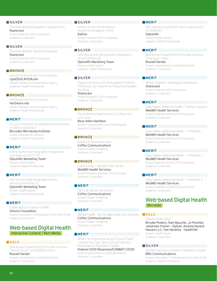## **SILVER**

The Data Behind Idiopathic Hypersomnia Sharecare Division: Business: 500+ employees Audience: Consumers

#### **SILVER**

The Data Behind Tardive Dyskinesia Sharecare Division: Business: 500+ employees Audience: Consumers

# **BRONZE**

cgmEDUCATION.net Find a Clinician cgmEDUCATION.net Division: Medical Communications Agency Audience: Health Professionals

## **BRONZE**

HerDesire.net Find a Clinician HerDesire.net Division: Medical Communications Agency Audience: Health Professionals

#### **MERIT**

Do you know that an unbalanced microbiota is called a dysbiosis? Biocodex Microbiota Institute Division: Educational Institution Audience: Health Professionals

## **MERIT**

b2b-long-format-infographic-integrationoverview-uhc2537752 OptumRx Marketing Team Division: Health System Audience: Health Professionals

#### **MERIT**

b2p-long-format-infographic-homedelivery-orx4047620 OptumRx Marketing Team Division: Health System Audience: Health Professionals

#### **MERIT**

Celebrating 5 Years of SPARK Simons Foundation Division: Association / Professional Society / Non-Profit Audience: Consumers

# Web-based Digital Health Interactive Content / Rich Media

## **GOLD**

Minnesota Department of Human Services "Terra's Story" Scrollytelling Video

Russell Herder

Division: Government (Local/State/Federal) Audience: Consumers

#### **SILVER**

Kidney Smart Home Edition: Home Hemodialysis (HHD) DaVita

Division: Business: 500+ employees Audience: Consumers

#### **SILVER**

b2b-interactive-pdf-specialty-integrationuhc4722006.pdf OptumRx Marketing Team Division: Health System

Audience: Health Professionals

## **SILVER**

Digital Immersion for Rheumatoid Arthritis: Interactive 3D Experience Featuring Parallax **Scrolling** Sharecare

Division: Business: 500+ employees Audience: Consumers

## **BRONZE**

The Defense Department's Too Much to Lose Quiz Booz Allen Hamilton

Division: Government (Local/State/Federal) Audience: Consumers

## **BRONZE**

8 ways to treat knee pain Coffey Communications Division: Media / Publishing Audience: Consumers

#### **BRONZE**

Community — WebMD ONE Portal WebMD Health Services Division: Business: less than 500 employees Audience: Consumers

#### **MERIT**

Cervical cancer prevention Coffey Communications Division: Media / Publishing Audience: Consumers

#### **MERIT**

Mental Health: Tips for talking with your provider Coffey Communications Division: Media / Publishing Audience: Consumers

# **MERIT**<sub>E</sub>

What's So Important About Clinical Trials? \_Interactive Quiz\_Why Clinical Trials Are Important to Population Health Federal COVD Response/COMBAT COVID Division: Government (Local/State/Federal)

Audience: Consumers

#### **MERIT**

b2b-interactive-pdf-2021-direct-value-storyorx4061593 OptumRx

Division: Health System Audience: Health Professionals

#### **MERIT**

Minnesota Department of Human Services "Pop Quiz" Video Russell Herder Division: Government (Local/State/Federal) Audience: Consumers

## **MERIT**

Better Together: Managing Depression **Sharecare** Division: Business: 500+ employees Audience: Consumers

#### **MERIT**

Daily Habits: Maternal Health — Partner Support WebMD Health Services Division: Business: less than 500 employees Audience: Consumers

#### **MERIT**

Daily Habits: Maternal Health — Trimester 1 WebMD Health Services Division: Business: less than 500 employees Audience: Consumers

#### **MERIT**

Daily Habits: Maternal Health — Trimester 2 WedMD Health Services Division: Business: less than 500 employees Audience: Consumers

#### **MERIT**

Daily Habits: Maternal Health — Trimester 3 WedMD Health Services Division: Business: less than 500 employees Audience: Consumers

# Web-based Digital Health Microsite

#### **GOLD** $\equiv$

Optum Pride 365+ Brooke Powers, Sam Bauchle, Jo Plumley, Johannes Frazier - Optum, Andrea Hazard - Hazard LLC, Yon Hardisty - HealthTek Division: Health Insurer Audience: Consumers

# **SILVER**

We Are Vaccine Confident: Interactive Toolkit BRG Communications

Division: Association / Professional Society / Non-Profit Audience: Health Professionals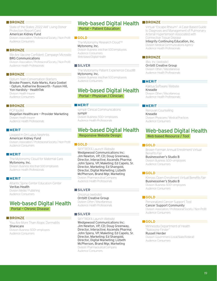State of the States: 2022 AKF Living Donor Protection Report Card

American Kidney Fund

Division: Association / Professional Society / Non-Profit Audience: Consumers

#### **BRONZE**

We Are Vaccine Confident: Campaign Microsite BRG Communications

Division: Association / Professional Society / Non-Profit Audience: Health Professionals

# **BRONZE**

Optum Teen Conversation Starters Brooke Powers, Kate Marks, Kara Goebel - Optum, Katherine Bosworth - Fusion Hill, Yon Hardisty - HealthTek Division: Health Insurer Audience: Consumers

**BRONZE**

PCP toolkit Magellan Healthcare — Provider Marketing Division: Health Insurer Audience: Health Professionals

## **MERIT**

Looped In On Lupus Nephritis American Kidney Fund Division: Association / Professional Society / Non-Profit Audience: Consumers

## **MERIT**

The Mytonomy Cloud for Maternal Care Mytonomy, Inc. Division: Business: less than 500 employees Audience: Health Professionals

## **MERIT**

Atlantic Spine Center Education Center Veritas Health Division: Media / Publishing Audience: Consumers

# Web-based Digital Health Portal — Chronic Disease

## **BRONZE**

You Are More Than Atopic Dermatitis **Sharecare** Division: Business: 500+ employees Audience: Consumers

# Web-based Digital Health

Portal — Patient Education

**GOLD**

The Mytonomy Research Cloud™ Mytonomy, Inc. Division: Business: less than 500 employees Audience: Consumers Web-based Digital Health

#### **SILVER**

The Mytonomy Patient Experience Cloud® Mytonomy, Inc. Division: Business: less than 500 employees Audience: Consumers

# Web-based Digital Health

Portal — Physician / Clinician

# **MERIT**

symplr Clinical Communications symplr Division: Business: 500+ employees Audience: Health Professionals

# Web-based Digital Health

Responsive Website Design

# **GOLD**

SKYTROFA Launch Website Wedgewood Communications Inc: Jim Newton, VP, CD; Doug Greenway, Director, Interactive; Ascendis Pharma: John Spera, VP, Maketing; Ed Capelo, Sr. Director, Marketing; Ed Shangold, Director, Digital Marketing; Lizbeth McPherson, Brand Mgr, Marketing Division: Pharmaceutical Company Audience: Health Professionals

#### **SILVER**

Oncorus (website) Orrbitt Creative Group Division: Other / Miscellaneous Audience: Health Professionals

#### **SILVER**

SKYTROFA Launch Website Wedgewood Communications Inc: Jim Newton, VP, CD; Doug Greenway, Director, Interactive; Ascendis Pharma: John Spera, VP, Maketing; Ed Capelo, Sr. Director, Marketing; Ed Shangold, Director, Digital Marketing; Lizbeth McPherson, Brand Mgr, Marketing Division: Pharmaceutical Company Audience: Consumers

# **BRONZE**

Virtual "Escape Rheum": A Case-Based Guide to Diagnosis and Management of Pulmonary Arterial Hypertension Associated with Connective Tissue Disease

#### Integrity Continuing Education, Inc.

Division: Medical Communications Agency Audience: Health Professionals

#### **BRONZE**

iBio, Inc (website) Orrbitt Creative Group Division: Other / Miscellaneous Audience: Health Professionals

## **MERIT**

Kaktus Software Website Kneadle Division: Other / Miscellaneous Audience: Health Professionals

#### **MERIT**

Renovari Counseling Kneadle Division: Physicians / Medical Practices Audience: Consumers

# Web-based Digital Health Web-based Resource / Tool

#### **GOLD** $\equiv$

Brown-Forman Annual Enrollment Virtual Benefits Fair Businessolver's Studio B Division: Business: 500+ employees Audience: Consumers

#### **GOLD**

Kinross Open Enrollment Virtual Benefits Fair Businessolver's Studio B Division: Business: 500+ employees Audience: Consumers

# **GOLD**

Personalized Cancer Support Tool Cancer Support Community Division: Association / Professional Society / Non-Profit Audience: Consumers

#### **GOLD**

Minnesota Department of Health "Naloxone Finder" Russell Herder Division: Government (Local/State/Federal) Audience: Consumers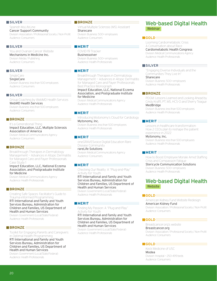# **SILVER**

Spanish MyLifeLine Cancer Support Community Division: Association / Professional Society / Non-Profit Audience: Consumers

# **SILVER**

You and Ovarian Cancer Website Mechanisms in Medicine Inc. Division: Media / Publishing Audience: Consumers

# **SILVER**

SingleCare **SingleCare** Division: Business: less than 500 employees Audience: Consumers

# **SILVER**

Group Coaching by WebMD Health Services WebMD Health Services Division: Business: less than 500 employees Audience: Consumers

# **BRONZE**

It's a Generational Thing Impact Education, LLC, Multiple Sclerosis Association of America

Division: Medical Communications Agency Audience: Consumers

# **BRONZE**

Breakthrough Therapies in Dermatology Management — Advances in Atopic Dermatitis for Managed Care and Payer Professionals Case Study 1

Impact Education, LLC, National Eczema Association, and Postgraduate Institute for Medicine

Division: Medical Communications Agency Audience: Health Professionals

## **BRONZE**

Creating Safe Spaces: Facilitator's Guide to Trauma-informed Programming RTI International and Family and Youth Services Bureau, Administration for Children and Families, US Department of Health and Human Services Division: Government (Local/State/Federal)

Audience: Health Professionals

# **BRONZE**

Toolkit for Engaging Parents and Caregivers in Optimal Health Programming RTI International and Family and Youth Services Bureau, Administration for Children and Families, US Department of Health and Human Services

Division: Government (Local/State/Federal) Audience: Health Professionals

# **BRONZE**

Virtual Multiple Sclerosis (MS) Assistant Sharecare Division: Business: 500+ employees Audience: Consumers

# **MERIT**

COVID-19 Tracker Businessolver Division: Business: 500+ employees Audience: Health Professionals

# **MERIT**

Breakthrough Therapies in Dermatology Management — Advances in Atopic Dermatitis for Managed Care and Payer Professionals Best Practice Monograph Impact Education, LLC, National Eczema

# Association, and Postgraduate Institute for Medicine

Division: Medical Communications Agency Audience: Health Professionals

# **MERIT**

Introducing Mytonomy's Cloud for Cardiology Mytonomy, Inc.

Division: Business: less than 500 employees Audience: Health Professionals

## **MERIT**

oneGRAVESvoice Digital Education Rare Disease Community

#### rareLife Solutions

Division: Medical Communications Agency Audience: Consumers

## **MERIT**

Checking Our Reality: A "Plug-and-Play" Activity for Youth

RTI International and Family and Youth Services Bureau, Administration for Children and Families, US Department of Health and Human Services

Division: Government (Local/State/Federal) Audience: Health Professionals

# **MERIT**

Finding My Passion: A "Plug-and-Play" Activity for Youth

RTI International and Family and Youth Services Bureau, Administration for Children and Families, US Department of Health and Human Services

Division: Government (Local/State/Federal) Audience: Health Professionals

# Web-based Digital Health **Webinar**

# **GOLD**

Looming Cardiometabolic Crisis: A Conversation about Race Cardiometabolic Health Congress Division: Medical Communications Agency Audience: Health Professionals

#### **SILVER**

"Engaging Diverse Individuals and the Communities They Live In" Sharecare

Division: Business: 500+ employees Audience: Health Professionals

# **BRONZE**

PDGM: Lessons Learned and Looking Ahead by Cindy Krafft, PT, MS, HCS-O and Sherry Teague MedBridge

Division: Business: less than 500 employees Audience: Health Professionals

# **MERIT**

Lessons in healthcare transformation: How 2 CEOs plan to reshape the patient experience in 2022

# Mytonomy, Inc.

Division: Business: less than 500 employees Audience: Health Professionals

# **MERIT**

How to Boost Employee Morale Amid Staffing Crisis and Compassion Fatigue

# Stericycle Communication Solutions

Division: Business: 500+ employees Audience: Health Professionals

# Web-based Digital Health Website

## **GOLD**

American Kidney Fund Website Redesign American Kidney Fund Division: Association / Professional Society / Non-Profit Audience: Consumers

## **GOLD**

Breastcancer.org's website Breastcancer.org Division: Association / Professional Society / Non-Profit Audience: Consumers

# **GOLD**

Keck Medicine of USC Modea Division: Hospital — 250-499 beds Audience: Consumers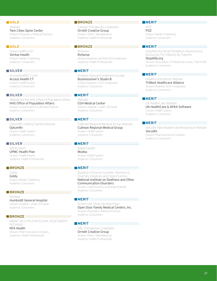# **GOLD**

Website Twin Cities Spine Center Division: Physicians / Medical Practices Audience: Consumers

# **GOLD**

Spine-health.com Veritas Health Division: Media / Publishing Audience: Consumers

# **SILVER**

AccessHealthCT.com Access Health CT Division: Health Insurer Audience: Consumers

# **SILVER**

Website for the HHS Office of Population Affairs HHS Office of Population Affairs Division: Government (Local/State/Federal) Audience: Consumers

# **SILVER**

OptumRx Getting Started Website OptumRx Division: Health System Audience: Consumers

# **SILVER**

Will M Sport UPMC Health Plan Division: Health Insurer Audience: Health Professionals

# **BRONZE**

Giddy Giddy Division: Media / Publishing Audience: Consumers

# **BRONZE**

Website Humboldt General Hospital Division: Hospital — under 250 beds Audience: Consumers

# **BRONZE**

MMAP: MULTIPLE MYELOMA ASSESSMENT PATHWAY NFA Health

Division: Pharmaceutical Company Audience: Health Professionals

# **BRONZE**

Camp4 Therapeutics (website) Orrbitt Creative Group Division: Other / Miscellaneous Audience: Health Professionals

# **BRONZE**

RxSense RxSense Division: Business: less than 500 employees Audience: Health Professionals

# **MERIT**

Envision Annual Enrollment eGuide Businessolver's Studio B Division: Business: 500+ employees Audience: Consumers

# **MERIT**

Website CGH Medical Center Division: Hospital — under 250 beds Audience: Consumers

#### **MERIT**

Cullman Regional Medical Group Website Cullman Regional Medical Group Division: Health System Audience: Consumers

# **MERIT**

Ballad Health Modea Division: Health System Audience: Consumers

# **MERIT**

Building A Diverse Scientific Workforce\_ Diversity Initiatives and Opportunities National Institute on Deafness and Other Communication Disorders Division: Government (Local/State/Federal) Audience: Consumers

#### **MERIT**

Grown Ups Show Up Web Page Open Door Family Medical Centers, Inc. Division: Physicians / Medical Practices Audience: Consumers

#### **MERIT**

VBL Therapeutics (website) Orrbitt Creative Group Division: Other / Miscellaneous Audience: Health Professionals

# **MERIT**

POZ POZ Division: Media / Publishing Audience: Consumers

# **MERIT**

StopAfib.org Atrial Fibrillation Awareness & Resources For Patients By Patients StopAfib.org Division: Association / Professional Society / Non-Profit Audience: Consumers

# **MERIT**

Healthy Homefront Website TriWest Healthcare Alliance Division: Business: 500+ employees Audience: Consumers

# **MERIT**

UK HealthCare Website UK HealthCare & APAX Software Division: Health System Audience: Consumers

# **MERIT**

VerusRx New Modern and Responsive Website VerusRx Division: Pharmaceutical Company Audience: Consumers